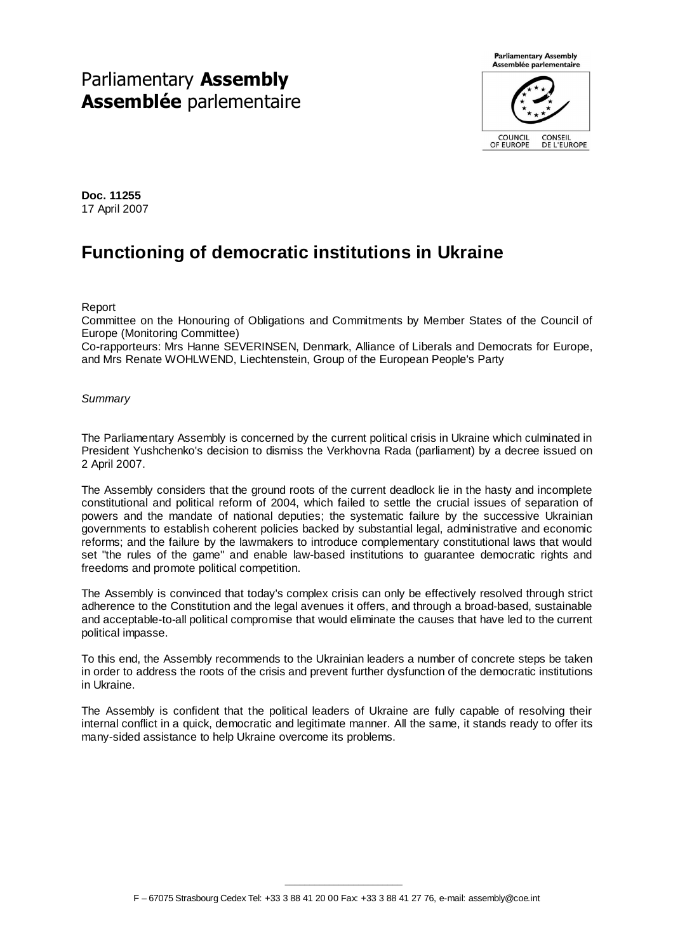# Parliamentary Assembly Assemblée parlementaire



**Doc. 11255**  17 April 2007

# **Functioning of democratic institutions in Ukraine**

Report

Committee on the Honouring of Obligations and Commitments by Member States of the Council of Europe (Monitoring Committee)

Co-rapporteurs: Mrs Hanne SEVERINSEN, Denmark, Alliance of Liberals and Democrats for Europe, and Mrs Renate WOHLWEND, Liechtenstein, Group of the European People's Party

# **Summary**

The Parliamentary Assembly is concerned by the current political crisis in Ukraine which culminated in President Yushchenko's decision to dismiss the Verkhovna Rada (parliament) by a decree issued on 2 April 2007.

The Assembly considers that the ground roots of the current deadlock lie in the hasty and incomplete constitutional and political reform of 2004, which failed to settle the crucial issues of separation of powers and the mandate of national deputies; the systematic failure by the successive Ukrainian governments to establish coherent policies backed by substantial legal, administrative and economic reforms; and the failure by the lawmakers to introduce complementary constitutional laws that would set "the rules of the game" and enable law-based institutions to guarantee democratic rights and freedoms and promote political competition.

The Assembly is convinced that today's complex crisis can only be effectively resolved through strict adherence to the Constitution and the legal avenues it offers, and through a broad-based, sustainable and acceptable-to-all political compromise that would eliminate the causes that have led to the current political impasse.

To this end, the Assembly recommends to the Ukrainian leaders a number of concrete steps be taken in order to address the roots of the crisis and prevent further dysfunction of the democratic institutions in Ukraine.

The Assembly is confident that the political leaders of Ukraine are fully capable of resolving their internal conflict in a quick, democratic and legitimate manner. All the same, it stands ready to offer its many-sided assistance to help Ukraine overcome its problems.

 $\overline{\phantom{a}}$  , where  $\overline{\phantom{a}}$  , where  $\overline{\phantom{a}}$  , where  $\overline{\phantom{a}}$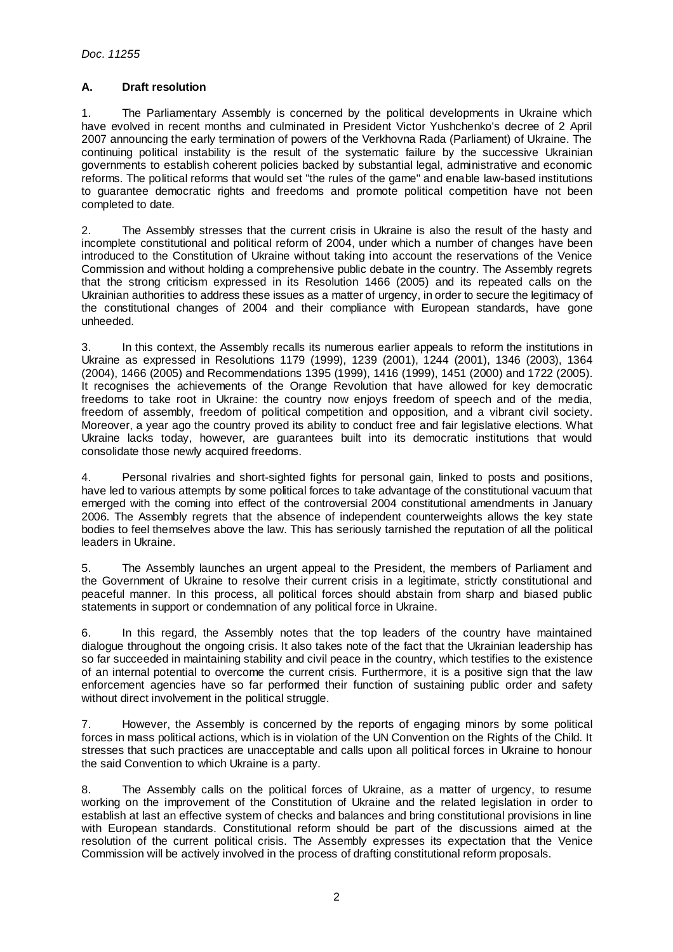# **A. Draft resolution**

1. The Parliamentary Assembly is concerned by the political developments in Ukraine which have evolved in recent months and culminated in President Victor Yushchenko's decree of 2 April 2007 announcing the early termination of powers of the Verkhovna Rada (Parliament) of Ukraine. The continuing political instability is the result of the systematic failure by the successive Ukrainian governments to establish coherent policies backed by substantial legal, administrative and economic reforms. The political reforms that would set "the rules of the game" and enable law-based institutions to guarantee democratic rights and freedoms and promote political competition have not been completed to date.

2. The Assembly stresses that the current crisis in Ukraine is also the result of the hasty and incomplete constitutional and political reform of 2004, under which a number of changes have been introduced to the Constitution of Ukraine without taking into account the reservations of the Venice Commission and without holding a comprehensive public debate in the country. The Assembly regrets that the strong criticism expressed in its Resolution 1466 (2005) and its repeated calls on the Ukrainian authorities to address these issues as a matter of urgency, in order to secure the legitimacy of the constitutional changes of 2004 and their compliance with European standards, have gone unheeded.

3. In this context, the Assembly recalls its numerous earlier appeals to reform the institutions in Ukraine as expressed in Resolutions 1179 (1999), 1239 (2001), 1244 (2001), 1346 (2003), 1364 (2004), 1466 (2005) and Recommendations 1395 (1999), 1416 (1999), 1451 (2000) and 1722 (2005). It recognises the achievements of the Orange Revolution that have allowed for key democratic freedoms to take root in Ukraine: the country now enjoys freedom of speech and of the media, freedom of assembly, freedom of political competition and opposition, and a vibrant civil society. Moreover, a year ago the country proved its ability to conduct free and fair legislative elections. What Ukraine lacks today, however, are guarantees built into its democratic institutions that would consolidate those newly acquired freedoms.

4. Personal rivalries and short-sighted fights for personal gain, linked to posts and positions, have led to various attempts by some political forces to take advantage of the constitutional vacuum that emerged with the coming into effect of the controversial 2004 constitutional amendments in January 2006. The Assembly regrets that the absence of independent counterweights allows the key state bodies to feel themselves above the law. This has seriously tarnished the reputation of all the political leaders in Ukraine.

5. The Assembly launches an urgent appeal to the President, the members of Parliament and the Government of Ukraine to resolve their current crisis in a legitimate, strictly constitutional and peaceful manner. In this process, all political forces should abstain from sharp and biased public statements in support or condemnation of any political force in Ukraine.

6. In this regard, the Assembly notes that the top leaders of the country have maintained dialogue throughout the ongoing crisis. It also takes note of the fact that the Ukrainian leadership has so far succeeded in maintaining stability and civil peace in the country, which testifies to the existence of an internal potential to overcome the current crisis. Furthermore, it is a positive sign that the law enforcement agencies have so far performed their function of sustaining public order and safety without direct involvement in the political struggle.

7. However, the Assembly is concerned by the reports of engaging minors by some political forces in mass political actions, which is in violation of the UN Convention on the Rights of the Child. It stresses that such practices are unacceptable and calls upon all political forces in Ukraine to honour the said Convention to which Ukraine is a party.

8. The Assembly calls on the political forces of Ukraine, as a matter of urgency, to resume working on the improvement of the Constitution of Ukraine and the related legislation in order to establish at last an effective system of checks and balances and bring constitutional provisions in line with European standards. Constitutional reform should be part of the discussions aimed at the resolution of the current political crisis. The Assembly expresses its expectation that the Venice Commission will be actively involved in the process of drafting constitutional reform proposals.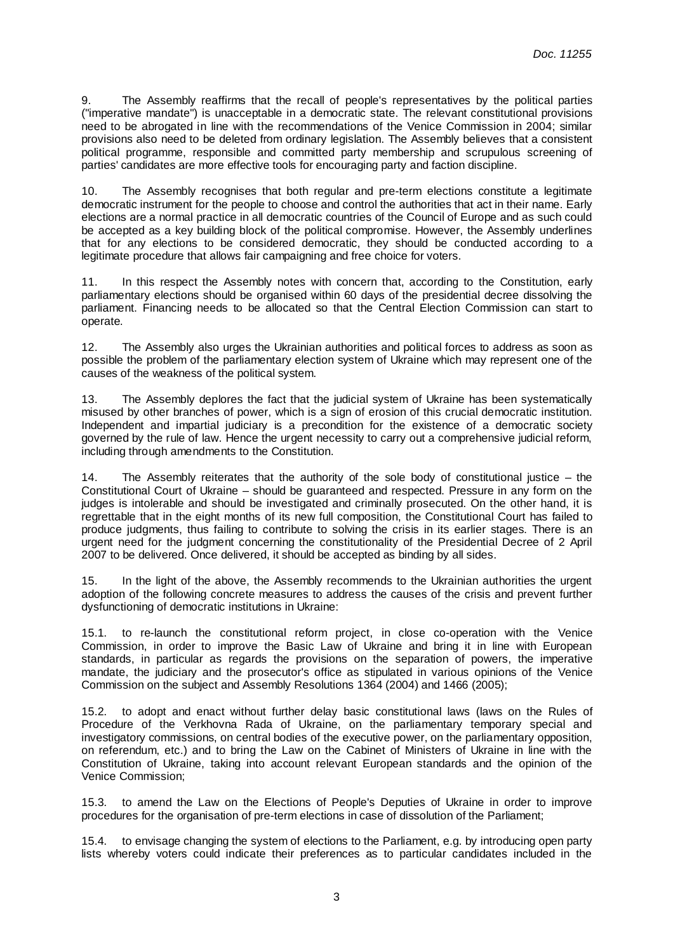9. The Assembly reaffirms that the recall of people's representatives by the political parties ("imperative mandate") is unacceptable in a democratic state. The relevant constitutional provisions need to be abrogated in line with the recommendations of the Venice Commission in 2004; similar provisions also need to be deleted from ordinary legislation. The Assembly believes that a consistent political programme, responsible and committed party membership and scrupulous screening of parties' candidates are more effective tools for encouraging party and faction discipline.

10. The Assembly recognises that both regular and pre-term elections constitute a legitimate democratic instrument for the people to choose and control the authorities that act in their name. Early elections are a normal practice in all democratic countries of the Council of Europe and as such could be accepted as a key building block of the political compromise. However, the Assembly underlines that for any elections to be considered democratic, they should be conducted according to a legitimate procedure that allows fair campaigning and free choice for voters.

11. In this respect the Assembly notes with concern that, according to the Constitution, early parliamentary elections should be organised within 60 days of the presidential decree dissolving the parliament. Financing needs to be allocated so that the Central Election Commission can start to operate.

12. The Assembly also urges the Ukrainian authorities and political forces to address as soon as possible the problem of the parliamentary election system of Ukraine which may represent one of the causes of the weakness of the political system.

13. The Assembly deplores the fact that the judicial system of Ukraine has been systematically misused by other branches of power, which is a sign of erosion of this crucial democratic institution. Independent and impartial judiciary is a precondition for the existence of a democratic society governed by the rule of law. Hence the urgent necessity to carry out a comprehensive judicial reform, including through amendments to the Constitution.

14. The Assembly reiterates that the authority of the sole body of constitutional justice – the Constitutional Court of Ukraine – should be guaranteed and respected. Pressure in any form on the judges is intolerable and should be investigated and criminally prosecuted. On the other hand, it is regrettable that in the eight months of its new full composition, the Constitutional Court has failed to produce judgments, thus failing to contribute to solving the crisis in its earlier stages. There is an urgent need for the judgment concerning the constitutionality of the Presidential Decree of 2 April 2007 to be delivered. Once delivered, it should be accepted as binding by all sides.

15. In the light of the above, the Assembly recommends to the Ukrainian authorities the urgent adoption of the following concrete measures to address the causes of the crisis and prevent further dysfunctioning of democratic institutions in Ukraine:

15.1. to re-launch the constitutional reform project, in close co-operation with the Venice Commission, in order to improve the Basic Law of Ukraine and bring it in line with European standards, in particular as regards the provisions on the separation of powers, the imperative mandate, the judiciary and the prosecutor's office as stipulated in various opinions of the Venice Commission on the subject and Assembly Resolutions 1364 (2004) and 1466 (2005);

15.2. to adopt and enact without further delay basic constitutional laws (laws on the Rules of Procedure of the Verkhovna Rada of Ukraine, on the parliamentary temporary special and investigatory commissions, on central bodies of the executive power, on the parliamentary opposition, on referendum, etc.) and to bring the Law on the Cabinet of Ministers of Ukraine in line with the Constitution of Ukraine, taking into account relevant European standards and the opinion of the Venice Commission;

15.3. to amend the Law on the Elections of People's Deputies of Ukraine in order to improve procedures for the organisation of pre-term elections in case of dissolution of the Parliament;

15.4. to envisage changing the system of elections to the Parliament, e.g. by introducing open party lists whereby voters could indicate their preferences as to particular candidates included in the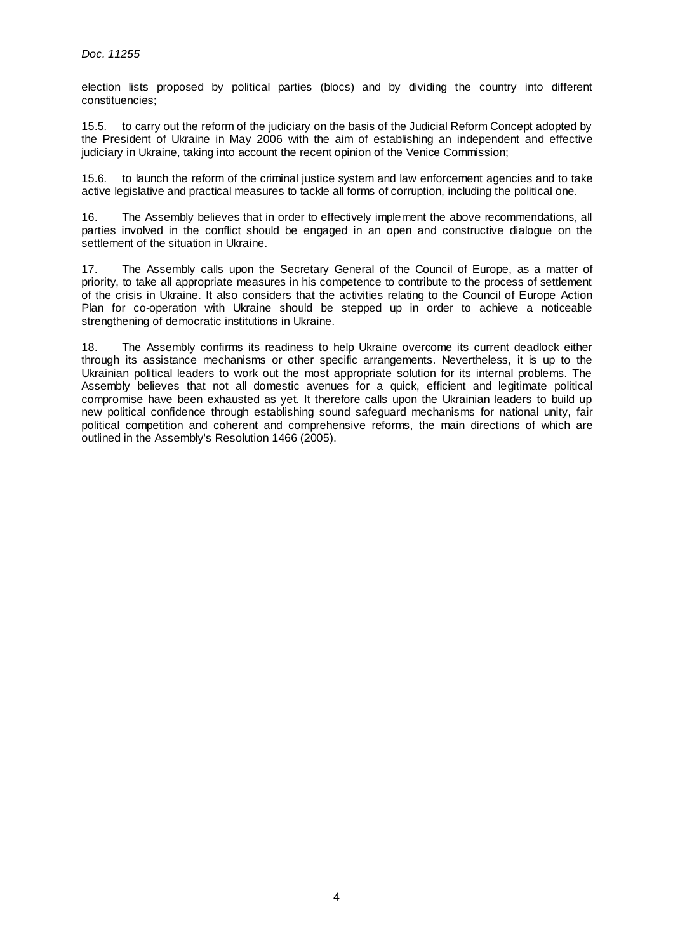election lists proposed by political parties (blocs) and by dividing the country into different constituencies;

15.5. to carry out the reform of the judiciary on the basis of the Judicial Reform Concept adopted by the President of Ukraine in May 2006 with the aim of establishing an independent and effective judiciary in Ukraine, taking into account the recent opinion of the Venice Commission;

15.6. to launch the reform of the criminal justice system and law enforcement agencies and to take active legislative and practical measures to tackle all forms of corruption, including the political one.

16. The Assembly believes that in order to effectively implement the above recommendations, all parties involved in the conflict should be engaged in an open and constructive dialogue on the settlement of the situation in Ukraine.

17. The Assembly calls upon the Secretary General of the Council of Europe, as a matter of priority, to take all appropriate measures in his competence to contribute to the process of settlement of the crisis in Ukraine. It also considers that the activities relating to the Council of Europe Action Plan for co-operation with Ukraine should be stepped up in order to achieve a noticeable strengthening of democratic institutions in Ukraine.

18. The Assembly confirms its readiness to help Ukraine overcome its current deadlock either through its assistance mechanisms or other specific arrangements. Nevertheless, it is up to the Ukrainian political leaders to work out the most appropriate solution for its internal problems. The Assembly believes that not all domestic avenues for a quick, efficient and legitimate political compromise have been exhausted as yet. It therefore calls upon the Ukrainian leaders to build up new political confidence through establishing sound safeguard mechanisms for national unity, fair political competition and coherent and comprehensive reforms, the main directions of which are outlined in the Assembly's Resolution 1466 (2005).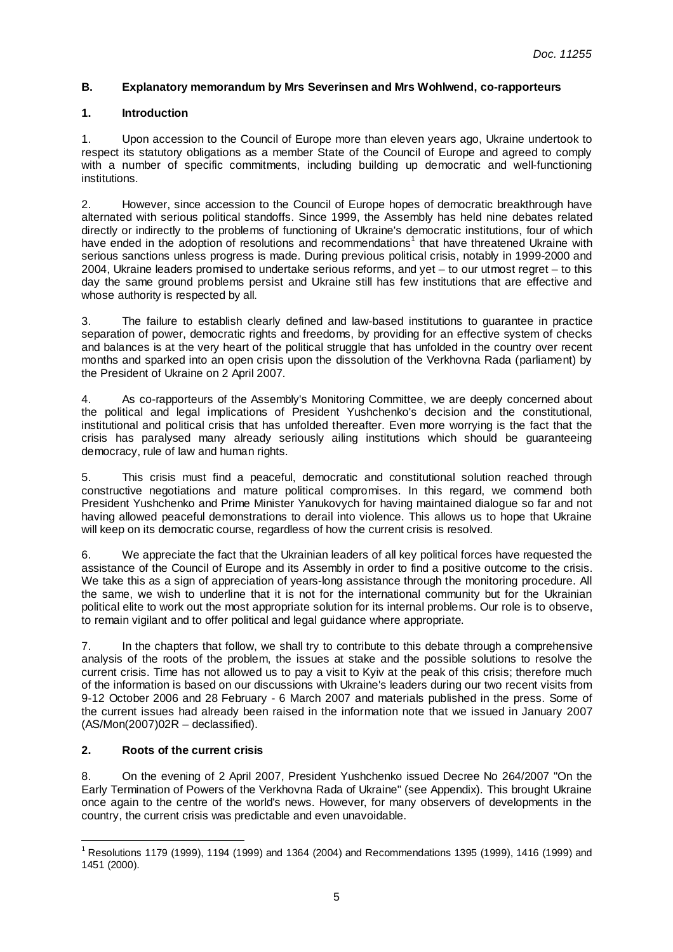# **B. Explanatory memorandum by Mrs Severinsen and Mrs Wohlwend, co-rapporteurs**

# **1. Introduction**

1. Upon accession to the Council of Europe more than eleven years ago, Ukraine undertook to respect its statutory obligations as a member State of the Council of Europe and agreed to comply with a number of specific commitments, including building up democratic and well-functioning institutions.

2. However, since accession to the Council of Europe hopes of democratic breakthrough have alternated with serious political standoffs. Since 1999, the Assembly has held nine debates related directly or indirectly to the problems of functioning of Ukraine's democratic institutions, four of which have ended in the adoption of resolutions and recommendations<sup>1</sup> that have threatened Ukraine with serious sanctions unless progress is made. During previous political crisis, notably in 1999-2000 and 2004, Ukraine leaders promised to undertake serious reforms, and yet – to our utmost regret – to this day the same ground problems persist and Ukraine still has few institutions that are effective and whose authority is respected by all.

3. The failure to establish clearly defined and law-based institutions to guarantee in practice separation of power, democratic rights and freedoms, by providing for an effective system of checks and balances is at the very heart of the political struggle that has unfolded in the country over recent months and sparked into an open crisis upon the dissolution of the Verkhovna Rada (parliament) by the President of Ukraine on 2 April 2007.

4. As co-rapporteurs of the Assembly's Monitoring Committee, we are deeply concerned about the political and legal implications of President Yushchenko's decision and the constitutional, institutional and political crisis that has unfolded thereafter. Even more worrying is the fact that the crisis has paralysed many already seriously ailing institutions which should be guaranteeing democracy, rule of law and human rights.

5. This crisis must find a peaceful, democratic and constitutional solution reached through constructive negotiations and mature political compromises. In this regard, we commend both President Yushchenko and Prime Minister Yanukovych for having maintained dialogue so far and not having allowed peaceful demonstrations to derail into violence. This allows us to hope that Ukraine will keep on its democratic course, regardless of how the current crisis is resolved.

6. We appreciate the fact that the Ukrainian leaders of all key political forces have requested the assistance of the Council of Europe and its Assembly in order to find a positive outcome to the crisis. We take this as a sign of appreciation of years-long assistance through the monitoring procedure. All the same, we wish to underline that it is not for the international community but for the Ukrainian political elite to work out the most appropriate solution for its internal problems. Our role is to observe, to remain vigilant and to offer political and legal guidance where appropriate.

7. In the chapters that follow, we shall try to contribute to this debate through a comprehensive analysis of the roots of the problem, the issues at stake and the possible solutions to resolve the current crisis. Time has not allowed us to pay a visit to Kyiv at the peak of this crisis; therefore much of the information is based on our discussions with Ukraine's leaders during our two recent visits from 9-12 October 2006 and 28 February - 6 March 2007 and materials published in the press. Some of the current issues had already been raised in the information note that we issued in January 2007  $(AS/Mon(2007)02R - declassified).$ 

# **2. Roots of the current crisis**

8. On the evening of 2 April 2007, President Yushchenko issued Decree No 264/2007 "On the Early Termination of Powers of the Verkhovna Rada of Ukraine" (see Appendix). This brought Ukraine once again to the centre of the world's news. However, for many observers of developments in the country, the current crisis was predictable and even unavoidable.

 $\overline{a}$ <sup>1</sup> Resolutions 1179 (1999), 1194 (1999) and 1364 (2004) and Recommendations 1395 (1999), 1416 (1999) and 1451 (2000).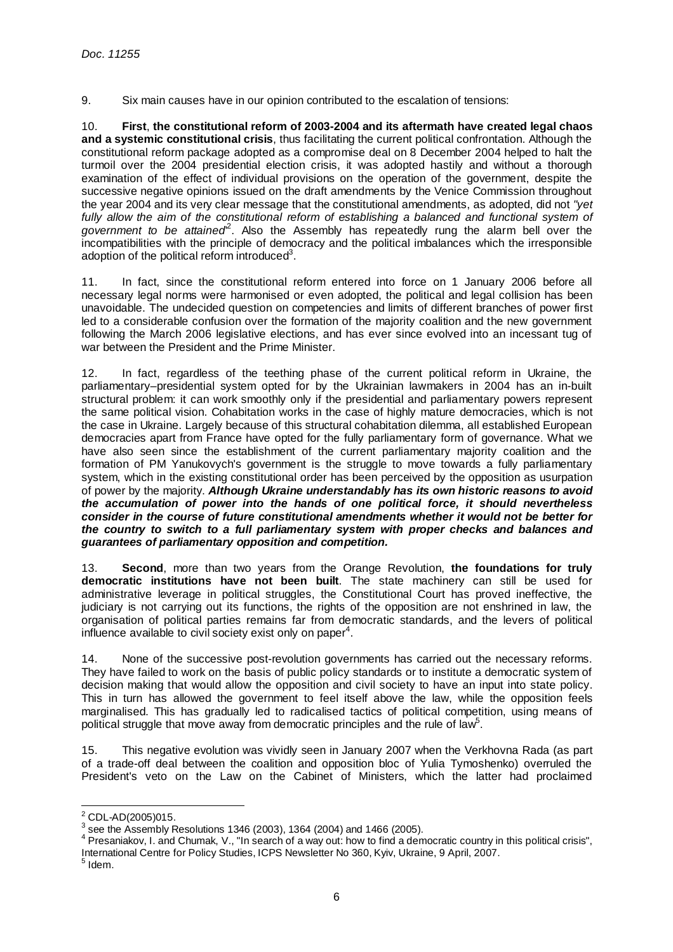9. Six main causes have in our opinion contributed to the escalation of tensions:

10. **First**, **the constitutional reform of 2003-2004 and its aftermath have created legal chaos and a systemic constitutional crisis**, thus facilitating the current political confrontation. Although the constitutional reform package adopted as a compromise deal on 8 December 2004 helped to halt the turmoil over the 2004 presidential election crisis, it was adopted hastily and without a thorough examination of the effect of individual provisions on the operation of the government, despite the successive negative opinions issued on the draft amendments by the Venice Commission throughout the year 2004 and its very clear message that the constitutional amendments, as adopted, did not "yet fully allow the aim of the constitutional reform of establishing a balanced and functional system of government to be attained<sup>2</sup>. Also the Assembly has repeatedly rung the alarm bell over the incompatibilities with the principle of democracy and the political imbalances which the irresponsible adoption of the political reform introduced<sup>3</sup>.

11. In fact, since the constitutional reform entered into force on 1 January 2006 before all necessary legal norms were harmonised or even adopted, the political and legal collision has been unavoidable. The undecided question on competencies and limits of different branches of power first led to a considerable confusion over the formation of the majority coalition and the new government following the March 2006 legislative elections, and has ever since evolved into an incessant tug of war between the President and the Prime Minister.

12. In fact, regardless of the teething phase of the current political reform in Ukraine, the parliamentary–presidential system opted for by the Ukrainian lawmakers in 2004 has an in-built structural problem: it can work smoothly only if the presidential and parliamentary powers represent the same political vision. Cohabitation works in the case of highly mature democracies, which is not the case in Ukraine. Largely because of this structural cohabitation dilemma, all established European democracies apart from France have opted for the fully parliamentary form of governance. What we have also seen since the establishment of the current parliamentary majority coalition and the formation of PM Yanukovych's government is the struggle to move towards a fully parliamentary system, which in the existing constitutional order has been perceived by the opposition as usurpation of power by the majority. **Although Ukraine understandably has its own historic reasons to avoid the accumulation of power into the hands of one political force, it should nevertheless consider in the course of future constitutional amendments whether it would not be better for the country to switch to a full parliamentary system with proper checks and balances and guarantees of parliamentary opposition and competition.** 

13. **Second**, more than two years from the Orange Revolution, **the foundations for truly democratic institutions have not been built**. The state machinery can still be used for administrative leverage in political struggles, the Constitutional Court has proved ineffective, the judiciary is not carrying out its functions, the rights of the opposition are not enshrined in law, the organisation of political parties remains far from democratic standards, and the levers of political influence available to civil society exist only on paper<sup>4</sup>.

14. None of the successive post-revolution governments has carried out the necessary reforms. They have failed to work on the basis of public policy standards or to institute a democratic system of decision making that would allow the opposition and civil society to have an input into state policy. This in turn has allowed the government to feel itself above the law, while the opposition feels marginalised. This has gradually led to radicalised tactics of political competition, using means of political struggle that move away from democratic principles and the rule of law<sup>5</sup>.

15. This negative evolution was vividly seen in January 2007 when the Verkhovna Rada (as part of a trade-off deal between the coalition and opposition bloc of Yulia Tymoshenko) overruled the President's veto on the Law on the Cabinet of Ministers, which the latter had proclaimed

 2 CDL-AD(2005)015.

 $3$  see the Assembly Resolutions 1346 (2003), 1364 (2004) and 1466 (2005).

<sup>&</sup>lt;sup>4</sup> Presaniakov, I. and Chumak, V., "In search of a way out: how to find a democratic country in this political crisis", International Centre for Policy Studies, ICPS Newsletter No 360, Kyiv, Ukraine, 9 April, 2007.

 $^5$  Idem.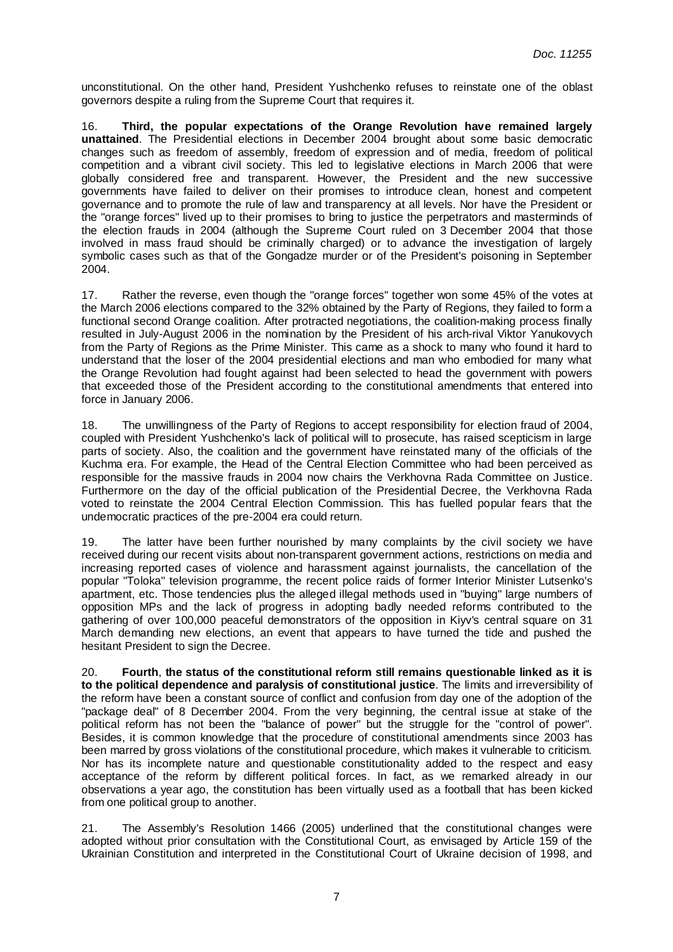unconstitutional. On the other hand, President Yushchenko refuses to reinstate one of the oblast governors despite a ruling from the Supreme Court that requires it.

16. **Third, the popular expectations of the Orange Revolution have remained largely unattained**. The Presidential elections in December 2004 brought about some basic democratic changes such as freedom of assembly, freedom of expression and of media, freedom of political competition and a vibrant civil society. This led to legislative elections in March 2006 that were globally considered free and transparent. However, the President and the new successive governments have failed to deliver on their promises to introduce clean, honest and competent governance and to promote the rule of law and transparency at all levels. Nor have the President or the "orange forces" lived up to their promises to bring to justice the perpetrators and masterminds of the election frauds in 2004 (although the Supreme Court ruled on 3 December 2004 that those involved in mass fraud should be criminally charged) or to advance the investigation of largely symbolic cases such as that of the Gongadze murder or of the President's poisoning in September 2004.

17. Rather the reverse, even though the "orange forces" together won some 45% of the votes at the March 2006 elections compared to the 32% obtained by the Party of Regions, they failed to form a functional second Orange coalition. After protracted negotiations, the coalition-making process finally resulted in July-August 2006 in the nomination by the President of his arch-rival Viktor Yanukovych from the Party of Regions as the Prime Minister. This came as a shock to many who found it hard to understand that the loser of the 2004 presidential elections and man who embodied for many what the Orange Revolution had fought against had been selected to head the government with powers that exceeded those of the President according to the constitutional amendments that entered into force in January 2006.

18. The unwillingness of the Party of Regions to accept responsibility for election fraud of 2004, coupled with President Yushchenko's lack of political will to prosecute, has raised scepticism in large parts of society. Also, the coalition and the government have reinstated many of the officials of the Kuchma era. For example, the Head of the Central Election Committee who had been perceived as responsible for the massive frauds in 2004 now chairs the Verkhovna Rada Committee on Justice. Furthermore on the day of the official publication of the Presidential Decree, the Verkhovna Rada voted to reinstate the 2004 Central Election Commission. This has fuelled popular fears that the undemocratic practices of the pre-2004 era could return.

19. The latter have been further nourished by many complaints by the civil society we have received during our recent visits about non-transparent government actions, restrictions on media and increasing reported cases of violence and harassment against journalists, the cancellation of the popular "Toloka" television programme, the recent police raids of former Interior Minister Lutsenko's apartment, etc. Those tendencies plus the alleged illegal methods used in "buying" large numbers of opposition MPs and the lack of progress in adopting badly needed reforms contributed to the gathering of over 100,000 peaceful demonstrators of the opposition in Kiyv's central square on 31 March demanding new elections, an event that appears to have turned the tide and pushed the hesitant President to sign the Decree.

20. **Fourth**, **the status of the constitutional reform still remains questionable linked as it is to the political dependence and paralysis of constitutional justice**. The limits and irreversibility of the reform have been a constant source of conflict and confusion from day one of the adoption of the "package deal" of 8 December 2004. From the very beginning, the central issue at stake of the political reform has not been the "balance of power" but the struggle for the "control of power". Besides, it is common knowledge that the procedure of constitutional amendments since 2003 has been marred by gross violations of the constitutional procedure, which makes it vulnerable to criticism. Nor has its incomplete nature and questionable constitutionality added to the respect and easy acceptance of the reform by different political forces. In fact, as we remarked already in our observations a year ago, the constitution has been virtually used as a football that has been kicked from one political group to another.

21. The Assembly's Resolution 1466 (2005) underlined that the constitutional changes were adopted without prior consultation with the Constitutional Court, as envisaged by Article 159 of the Ukrainian Constitution and interpreted in the Constitutional Court of Ukraine decision of 1998, and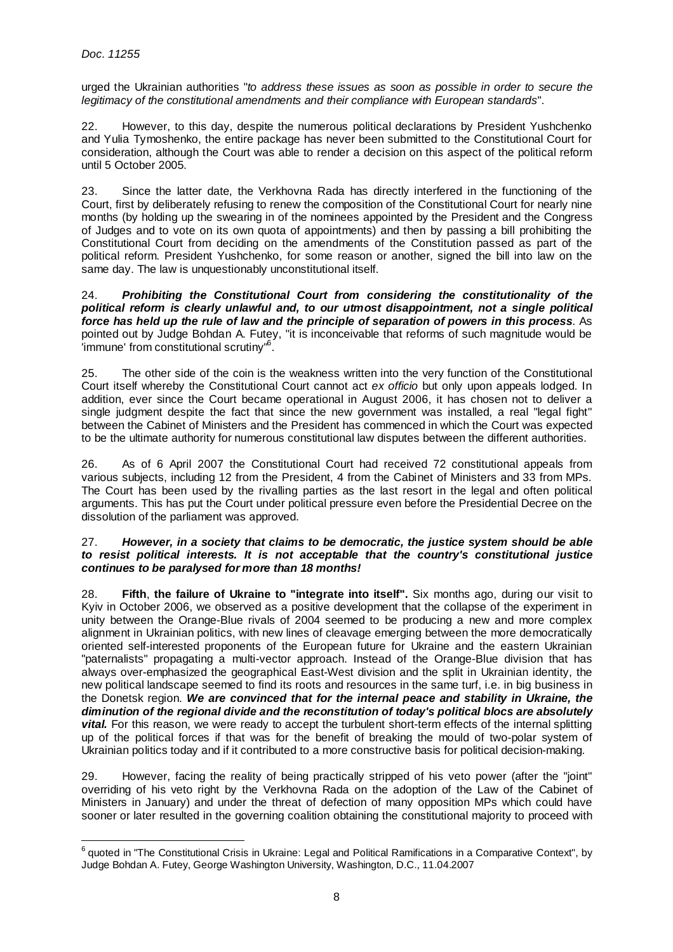urged the Ukrainian authorities "to address these issues as soon as possible in order to secure the legitimacy of the constitutional amendments and their compliance with European standards".

22. However, to this day, despite the numerous political declarations by President Yushchenko and Yulia Tymoshenko, the entire package has never been submitted to the Constitutional Court for consideration, although the Court was able to render a decision on this aspect of the political reform until 5 October 2005.

23. Since the latter date, the Verkhovna Rada has directly interfered in the functioning of the Court, first by deliberately refusing to renew the composition of the Constitutional Court for nearly nine months (by holding up the swearing in of the nominees appointed by the President and the Congress of Judges and to vote on its own quota of appointments) and then by passing a bill prohibiting the Constitutional Court from deciding on the amendments of the Constitution passed as part of the political reform. President Yushchenko, for some reason or another, signed the bill into law on the same day. The law is unquestionably unconstitutional itself.

24. **Prohibiting the Constitutional Court from considering the constitutionality of the political reform is clearly unlawful and, to our utmost disappointment, not a single political force has held up the rule of law and the principle of separation of powers in this process**. As pointed out by Judge Bohdan A. Futey, "it is inconceivable that reforms of such magnitude would be 'immune' from constitutional scrutiny"<sup>6</sup> .

25. The other side of the coin is the weakness written into the very function of the Constitutional Court itself whereby the Constitutional Court cannot act ex officio but only upon appeals lodged. In addition, ever since the Court became operational in August 2006, it has chosen not to deliver a single judgment despite the fact that since the new government was installed, a real "legal fight" between the Cabinet of Ministers and the President has commenced in which the Court was expected to be the ultimate authority for numerous constitutional law disputes between the different authorities.

26. As of 6 April 2007 the Constitutional Court had received 72 constitutional appeals from various subjects, including 12 from the President, 4 from the Cabinet of Ministers and 33 from MPs. The Court has been used by the rivalling parties as the last resort in the legal and often political arguments. This has put the Court under political pressure even before the Presidential Decree on the dissolution of the parliament was approved.

#### 27. **However, in a society that claims to be democratic, the justice system should be able to resist political interests. It is not acceptable that the country's constitutional justice continues to be paralysed for more than 18 months!**

28. **Fifth**, **the failure of Ukraine to "integrate into itself".** Six months ago, during our visit to Kyiv in October 2006, we observed as a positive development that the collapse of the experiment in unity between the Orange-Blue rivals of 2004 seemed to be producing a new and more complex alignment in Ukrainian politics, with new lines of cleavage emerging between the more democratically oriented self-interested proponents of the European future for Ukraine and the eastern Ukrainian "paternalists" propagating a multi-vector approach. Instead of the Orange-Blue division that has always over-emphasized the geographical East-West division and the split in Ukrainian identity, the new political landscape seemed to find its roots and resources in the same turf, i.e. in big business in the Donetsk region. **We are convinced that for the internal peace and stability in Ukraine, the diminution of the regional divide and the reconstitution of today's political blocs are absolutely vital.** For this reason, we were ready to accept the turbulent short-term effects of the internal splitting up of the political forces if that was for the benefit of breaking the mould of two-polar system of Ukrainian politics today and if it contributed to a more constructive basis for political decision-making.

29. However, facing the reality of being practically stripped of his veto power (after the "joint" overriding of his veto right by the Verkhovna Rada on the adoption of the Law of the Cabinet of Ministers in January) and under the threat of defection of many opposition MPs which could have sooner or later resulted in the governing coalition obtaining the constitutional majority to proceed with

 6 quoted in "The Constitutional Crisis in Ukraine: Legal and Political Ramifications in a Comparative Context", by Judge Bohdan A. Futey, George Washington University, Washington, D.C., 11.04.2007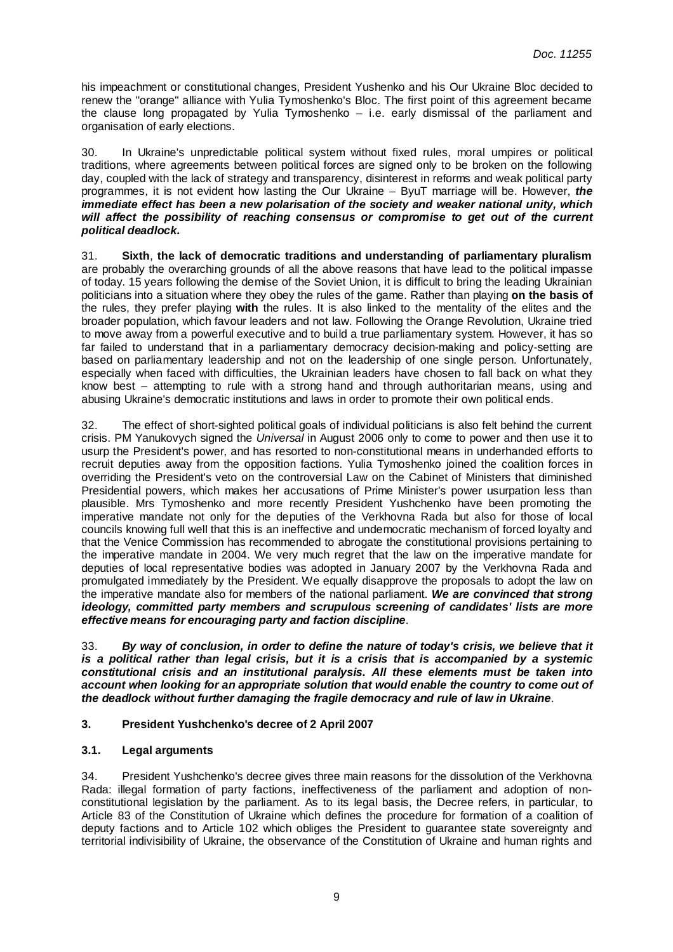his impeachment or constitutional changes, President Yushenko and his Our Ukraine Bloc decided to renew the "orange" alliance with Yulia Tymoshenko's Bloc. The first point of this agreement became the clause long propagated by Yulia Tymoshenko – i.e. early dismissal of the parliament and organisation of early elections.

30. In Ukraine's unpredictable political system without fixed rules, moral umpires or political traditions, where agreements between political forces are signed only to be broken on the following day, coupled with the lack of strategy and transparency, disinterest in reforms and weak political party programmes, it is not evident how lasting the Our Ukraine – ByuT marriage will be. However, **the immediate effect has been a new polarisation of the society and weaker national unity, which will affect the possibility of reaching consensus or compromise to get out of the current political deadlock.** 

31. **Sixth**, **the lack of democratic traditions and understanding of parliamentary pluralism** are probably the overarching grounds of all the above reasons that have lead to the political impasse of today. 15 years following the demise of the Soviet Union, it is difficult to bring the leading Ukrainian politicians into a situation where they obey the rules of the game. Rather than playing **on the basis of**  the rules, they prefer playing **with** the rules. It is also linked to the mentality of the elites and the broader population, which favour leaders and not law. Following the Orange Revolution, Ukraine tried to move away from a powerful executive and to build a true parliamentary system. However, it has so far failed to understand that in a parliamentary democracy decision-making and policy-setting are based on parliamentary leadership and not on the leadership of one single person. Unfortunately, especially when faced with difficulties, the Ukrainian leaders have chosen to fall back on what they know best – attempting to rule with a strong hand and through authoritarian means, using and abusing Ukraine's democratic institutions and laws in order to promote their own political ends.

32. The effect of short-sighted political goals of individual politicians is also felt behind the current crisis. PM Yanukovych signed the Universal in August 2006 only to come to power and then use it to usurp the President's power, and has resorted to non-constitutional means in underhanded efforts to recruit deputies away from the opposition factions. Yulia Tymoshenko joined the coalition forces in overriding the President's veto on the controversial Law on the Cabinet of Ministers that diminished Presidential powers, which makes her accusations of Prime Minister's power usurpation less than plausible. Mrs Tymoshenko and more recently President Yushchenko have been promoting the imperative mandate not only for the deputies of the Verkhovna Rada but also for those of local councils knowing full well that this is an ineffective and undemocratic mechanism of forced loyalty and that the Venice Commission has recommended to abrogate the constitutional provisions pertaining to the imperative mandate in 2004. We very much regret that the law on the imperative mandate for deputies of local representative bodies was adopted in January 2007 by the Verkhovna Rada and promulgated immediately by the President. We equally disapprove the proposals to adopt the law on the imperative mandate also for members of the national parliament. **We are convinced that strong ideology, committed party members and scrupulous screening of candidates' lists are more effective means for encouraging party and faction discipline**.

33. **By way of conclusion, in order to define the nature of today's crisis, we believe that it is a political rather than legal crisis, but it is a crisis that is accompanied by a systemic constitutional crisis and an institutional paralysis. All these elements must be taken into account when looking for an appropriate solution that would enable the country to come out of the deadlock without further damaging the fragile democracy and rule of law in Ukraine**.

### **3. President Yushchenko's decree of 2 April 2007**

# **3.1. Legal arguments**

34. President Yushchenko's decree gives three main reasons for the dissolution of the Verkhovna Rada: illegal formation of party factions, ineffectiveness of the parliament and adoption of nonconstitutional legislation by the parliament. As to its legal basis, the Decree refers, in particular, to Article 83 of the Constitution of Ukraine which defines the procedure for formation of a coalition of deputy factions and to Article 102 which obliges the President to guarantee state sovereignty and territorial indivisibility of Ukraine, the observance of the Constitution of Ukraine and human rights and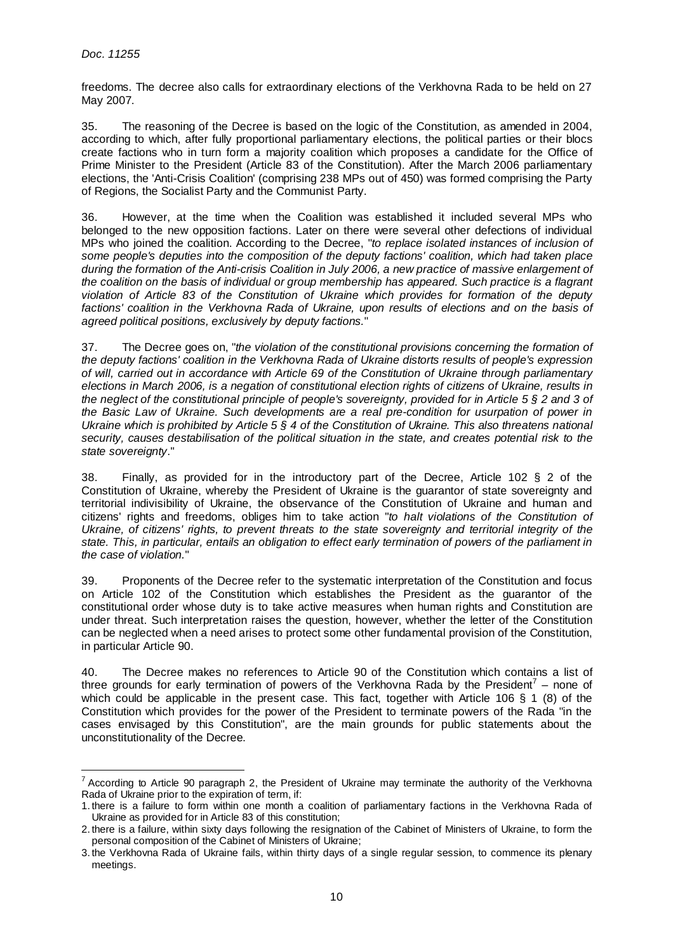freedoms. The decree also calls for extraordinary elections of the Verkhovna Rada to be held on 27 May 2007.

35. The reasoning of the Decree is based on the logic of the Constitution, as amended in 2004, according to which, after fully proportional parliamentary elections, the political parties or their blocs create factions who in turn form a majority coalition which proposes a candidate for the Office of Prime Minister to the President (Article 83 of the Constitution). After the March 2006 parliamentary elections, the 'Anti-Crisis Coalition' (comprising 238 MPs out of 450) was formed comprising the Party of Regions, the Socialist Party and the Communist Party.

36. However, at the time when the Coalition was established it included several MPs who belonged to the new opposition factions. Later on there were several other defections of individual MPs who joined the coalition. According to the Decree, "to replace isolated instances of inclusion of some people's deputies into the composition of the deputy factions' coalition, which had taken place during the formation of the Anti-crisis Coalition in July 2006, a new practice of massive enlargement of the coalition on the basis of individual or group membership has appeared. Such practice is a flagrant violation of Article 83 of the Constitution of Ukraine which provides for formation of the deputy factions' coalition in the Verkhovna Rada of Ukraine, upon results of elections and on the basis of agreed political positions, exclusively by deputy factions."

37. The Decree goes on, "the violation of the constitutional provisions concerning the formation of the deputy factions' coalition in the Verkhovna Rada of Ukraine distorts results of people's expression of will, carried out in accordance with Article 69 of the Constitution of Ukraine through parliamentary elections in March 2006, is a negation of constitutional election rights of citizens of Ukraine, results in the neglect of the constitutional principle of people's sovereignty, provided for in Article 5  $\S$  2 and 3 of the Basic Law of Ukraine. Such developments are a real pre-condition for usurpation of power in Ukraine which is prohibited by Article 5 § 4 of the Constitution of Ukraine. This also threatens national security, causes destabilisation of the political situation in the state, and creates potential risk to the state sovereignty."

38. Finally, as provided for in the introductory part of the Decree, Article 102 § 2 of the Constitution of Ukraine, whereby the President of Ukraine is the guarantor of state sovereignty and territorial indivisibility of Ukraine, the observance of the Constitution of Ukraine and human and citizens' rights and freedoms, obliges him to take action "to halt violations of the Constitution of Ukraine, of citizens' rights, to prevent threats to the state sovereignty and territorial integrity of the state. This, in particular, entails an obligation to effect early termination of powers of the parliament in the case of violation."

39. Proponents of the Decree refer to the systematic interpretation of the Constitution and focus on Article 102 of the Constitution which establishes the President as the guarantor of the constitutional order whose duty is to take active measures when human rights and Constitution are under threat. Such interpretation raises the question, however, whether the letter of the Constitution can be neglected when a need arises to protect some other fundamental provision of the Constitution, in particular Article 90.

40. The Decree makes no references to Article 90 of the Constitution which contains a list of three grounds for early termination of powers of the Verkhovna Rada by the President<sup>7</sup> – none of which could be applicable in the present case. This fact, together with Article 106 § 1 (8) of the Constitution which provides for the power of the President to terminate powers of the Rada "in the cases envisaged by this Constitution", are the main grounds for public statements about the unconstitutionality of the Decree.

TACCORDING THE TREST CONDITIONS TO THE VERTITY OF THE VERTIONS THE VERTIONS THE VERTIONS THE VERTIONS THE VERTIONS T<br>TACCORding to Article 90 paragraph 2, the President of Ukraine may terminate the authority of the Verkhov Rada of Ukraine prior to the expiration of term, if:

<sup>1.</sup> there is a failure to form within one month a coalition of parliamentary factions in the Verkhovna Rada of Ukraine as provided for in Article 83 of this constitution;

<sup>2.</sup> there is a failure, within sixty days following the resignation of the Cabinet of Ministers of Ukraine, to form the personal composition of the Cabinet of Ministers of Ukraine;

<sup>3.</sup> the Verkhovna Rada of Ukraine fails, within thirty days of a single regular session, to commence its plenary meetings.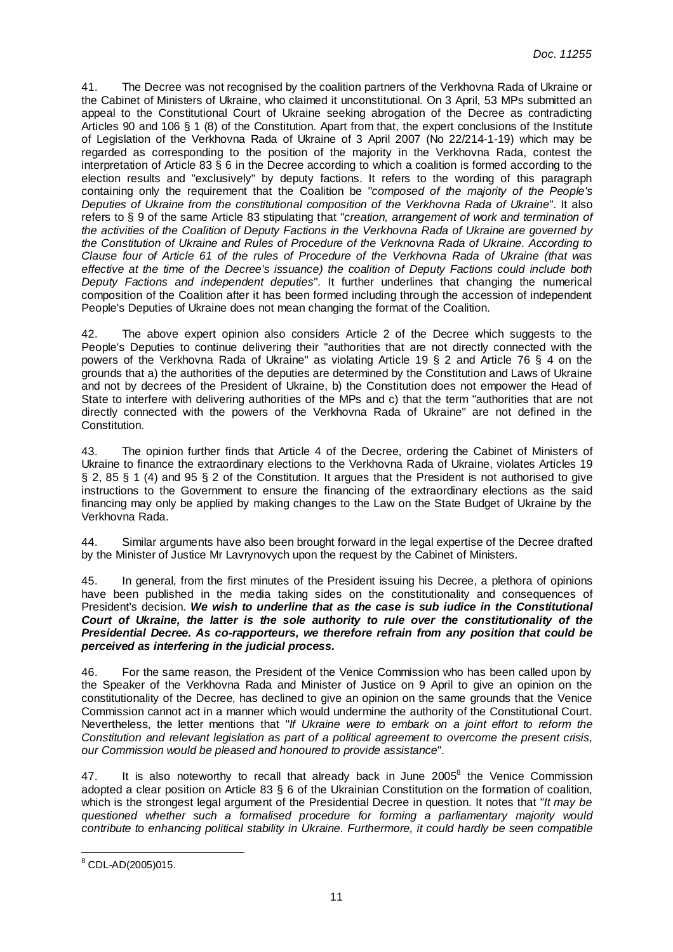41. The Decree was not recognised by the coalition partners of the Verkhovna Rada of Ukraine or the Cabinet of Ministers of Ukraine, who claimed it unconstitutional. On 3 April, 53 MPs submitted an appeal to the Constitutional Court of Ukraine seeking abrogation of the Decree as contradicting Articles 90 and 106 § 1 (8) of the Constitution. Apart from that, the expert conclusions of the Institute of Legislation of the Verkhovna Rada of Ukraine of 3 April 2007 (No 22/214-1-19) which may be regarded as corresponding to the position of the majority in the Verkhovna Rada, contest the interpretation of Article 83 § 6 in the Decree according to which a coalition is formed according to the election results and "exclusively" by deputy factions. It refers to the wording of this paragraph containing only the requirement that the Coalition be "composed of the majority of the People's Deputies of Ukraine from the constitutional composition of the Verkhovna Rada of Ukraine". It also refers to § 9 of the same Article 83 stipulating that "creation, arrangement of work and termination of the activities of the Coalition of Deputy Factions in the Verkhovna Rada of Ukraine are governed by the Constitution of Ukraine and Rules of Procedure of the Verknovna Rada of Ukraine. According to Clause four of Article 61 of the rules of Procedure of the Verkhovna Rada of Ukraine (that was effective at the time of the Decree's issuance) the coalition of Deputy Factions could include both Deputy Factions and independent deputies". It further underlines that changing the numerical composition of the Coalition after it has been formed including through the accession of independent People's Deputies of Ukraine does not mean changing the format of the Coalition.

42. The above expert opinion also considers Article 2 of the Decree which suggests to the People's Deputies to continue delivering their "authorities that are not directly connected with the powers of the Verkhovna Rada of Ukraine" as violating Article 19 § 2 and Article 76 § 4 on the grounds that a) the authorities of the deputies are determined by the Constitution and Laws of Ukraine and not by decrees of the President of Ukraine, b) the Constitution does not empower the Head of State to interfere with delivering authorities of the MPs and c) that the term "authorities that are not directly connected with the powers of the Verkhovna Rada of Ukraine" are not defined in the Constitution.

43. The opinion further finds that Article 4 of the Decree, ordering the Cabinet of Ministers of Ukraine to finance the extraordinary elections to the Verkhovna Rada of Ukraine, violates Articles 19 § 2, 85 § 1 (4) and 95 § 2 of the Constitution. It argues that the President is not authorised to give instructions to the Government to ensure the financing of the extraordinary elections as the said financing may only be applied by making changes to the Law on the State Budget of Ukraine by the Verkhovna Rada.

44. Similar arguments have also been brought forward in the legal expertise of the Decree drafted by the Minister of Justice Mr Lavrynovych upon the request by the Cabinet of Ministers.

45. In general, from the first minutes of the President issuing his Decree, a plethora of opinions have been published in the media taking sides on the constitutionality and consequences of President's decision. **We wish to underline that as the case is sub iudice in the Constitutional Court of Ukraine, the latter is the sole authority to rule over the constitutionality of the Presidential Decree. As co-rapporteurs, we therefore refrain from any position that could be perceived as interfering in the judicial process.** 

46. For the same reason, the President of the Venice Commission who has been called upon by the Speaker of the Verkhovna Rada and Minister of Justice on 9 April to give an opinion on the constitutionality of the Decree, has declined to give an opinion on the same grounds that the Venice Commission cannot act in a manner which would undermine the authority of the Constitutional Court. Nevertheless, the letter mentions that "If Ukraine were to embark on a joint effort to reform the Constitution and relevant legislation as part of a political agreement to overcome the present crisis, our Commission would be pleased and honoured to provide assistance".

47. It is also noteworthy to recall that already back in June 2005<sup>8</sup> the Venice Commission adopted a clear position on Article 83 § 6 of the Ukrainian Constitution on the formation of coalition, which is the strongest legal argument of the Presidential Decree in question. It notes that "It may be questioned whether such a formalised procedure for forming a parliamentary majority would contribute to enhancing political stability in Ukraine. Furthermore, it could hardly be seen compatible

 $\overline{a}$ 8 CDL-AD(2005)015.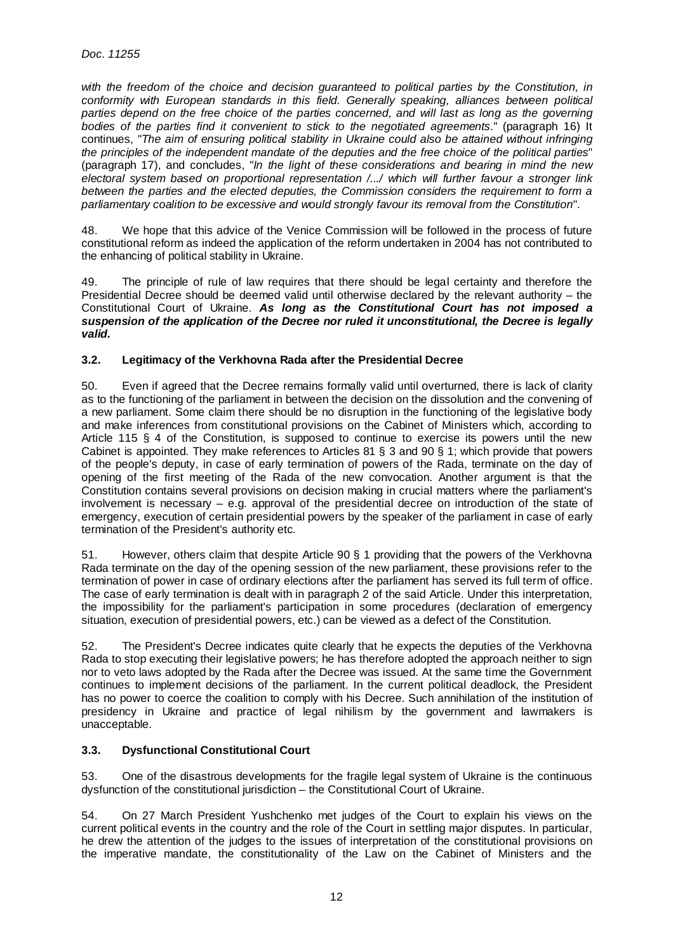with the freedom of the choice and decision guaranteed to political parties by the Constitution, in conformity with European standards in this field. Generally speaking, alliances between political parties depend on the free choice of the parties concerned, and will last as long as the governing bodies of the parties find it convenient to stick to the negotiated agreements." (paragraph 16) It continues, "The aim of ensuring political stability in Ukraine could also be attained without infringing the principles of the independent mandate of the deputies and the free choice of the political parties" (paragraph 17), and concludes, "In the light of these considerations and bearing in mind the new electoral system based on proportional representation /.../ which will further favour a stronger link between the parties and the elected deputies, the Commission considers the requirement to form a parliamentary coalition to be excessive and would strongly favour its removal from the Constitution".

48. We hope that this advice of the Venice Commission will be followed in the process of future constitutional reform as indeed the application of the reform undertaken in 2004 has not contributed to the enhancing of political stability in Ukraine.

49. The principle of rule of law requires that there should be legal certainty and therefore the Presidential Decree should be deemed valid until otherwise declared by the relevant authority – the Constitutional Court of Ukraine. **As long as the Constitutional Court has not imposed a suspension of the application of the Decree nor ruled it unconstitutional, the Decree is legally valid.**

### **3.2. Legitimacy of the Verkhovna Rada after the Presidential Decree**

50. Even if agreed that the Decree remains formally valid until overturned, there is lack of clarity as to the functioning of the parliament in between the decision on the dissolution and the convening of a new parliament. Some claim there should be no disruption in the functioning of the legislative body and make inferences from constitutional provisions on the Cabinet of Ministers which, according to Article 115 § 4 of the Constitution, is supposed to continue to exercise its powers until the new Cabinet is appointed. They make references to Articles 81 § 3 and 90 § 1; which provide that powers of the people's deputy, in case of early termination of powers of the Rada, terminate on the day of opening of the first meeting of the Rada of the new convocation. Another argument is that the Constitution contains several provisions on decision making in crucial matters where the parliament's involvement is necessary  $-$  e.g. approval of the presidential decree on introduction of the state of emergency, execution of certain presidential powers by the speaker of the parliament in case of early termination of the President's authority etc.

51. However, others claim that despite Article 90 § 1 providing that the powers of the Verkhovna Rada terminate on the day of the opening session of the new parliament, these provisions refer to the termination of power in case of ordinary elections after the parliament has served its full term of office. The case of early termination is dealt with in paragraph 2 of the said Article. Under this interpretation, the impossibility for the parliament's participation in some procedures (declaration of emergency situation, execution of presidential powers, etc.) can be viewed as a defect of the Constitution.

52. The President's Decree indicates quite clearly that he expects the deputies of the Verkhovna Rada to stop executing their legislative powers; he has therefore adopted the approach neither to sign nor to veto laws adopted by the Rada after the Decree was issued. At the same time the Government continues to implement decisions of the parliament. In the current political deadlock, the President has no power to coerce the coalition to comply with his Decree. Such annihilation of the institution of presidency in Ukraine and practice of legal nihilism by the government and lawmakers is unacceptable.

## **3.3. Dysfunctional Constitutional Court**

53. One of the disastrous developments for the fragile legal system of Ukraine is the continuous dysfunction of the constitutional jurisdiction – the Constitutional Court of Ukraine.

54. On 27 March President Yushchenko met judges of the Court to explain his views on the current political events in the country and the role of the Court in settling major disputes. In particular, he drew the attention of the judges to the issues of interpretation of the constitutional provisions on the imperative mandate, the constitutionality of the Law on the Cabinet of Ministers and the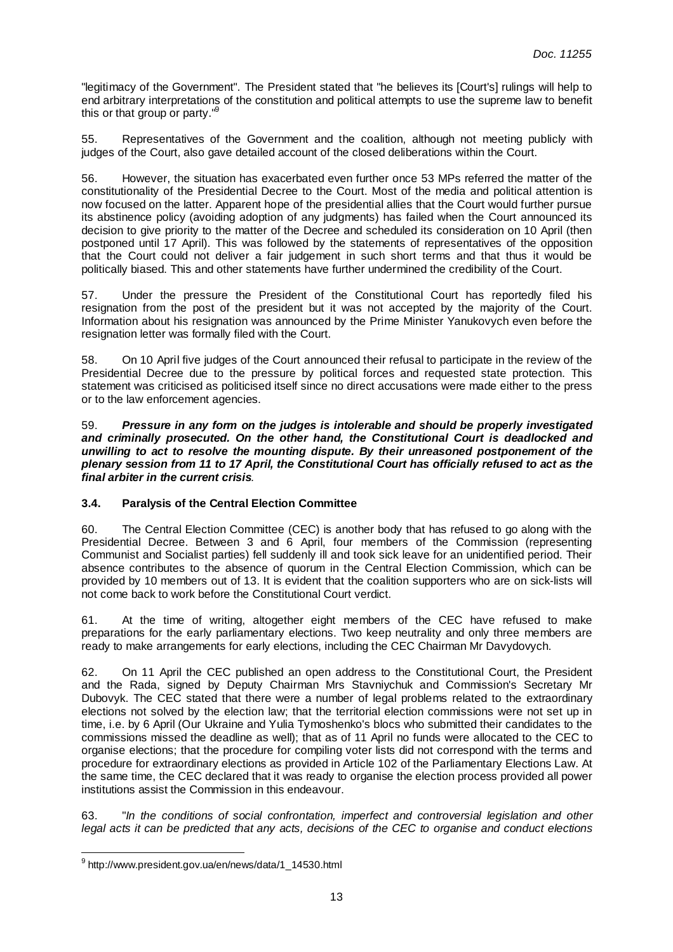"legitimacy of the Government". The President stated that "he believes its [Court's] rulings will help to end arbitrary interpretations of the constitution and political attempts to use the supreme law to benefit this or that group or party."<sup>9</sup>

55. Representatives of the Government and the coalition, although not meeting publicly with judges of the Court, also gave detailed account of the closed deliberations within the Court.

56. However, the situation has exacerbated even further once 53 MPs referred the matter of the constitutionality of the Presidential Decree to the Court. Most of the media and political attention is now focused on the latter. Apparent hope of the presidential allies that the Court would further pursue its abstinence policy (avoiding adoption of any judgments) has failed when the Court announced its decision to give priority to the matter of the Decree and scheduled its consideration on 10 April (then postponed until 17 April). This was followed by the statements of representatives of the opposition that the Court could not deliver a fair judgement in such short terms and that thus it would be politically biased. This and other statements have further undermined the credibility of the Court.

57. Under the pressure the President of the Constitutional Court has reportedly filed his resignation from the post of the president but it was not accepted by the majority of the Court. Information about his resignation was announced by the Prime Minister Yanukovych even before the resignation letter was formally filed with the Court.

58. On 10 April five judges of the Court announced their refusal to participate in the review of the Presidential Decree due to the pressure by political forces and requested state protection. This statement was criticised as politicised itself since no direct accusations were made either to the press or to the law enforcement agencies.

59. **Pressure in any form on the judges is intolerable and should be properly investigated and criminally prosecuted. On the other hand, the Constitutional Court is deadlocked and unwilling to act to resolve the mounting dispute. By their unreasoned postponement of the plenary session from 11 to 17 April, the Constitutional Court has officially refused to act as the final arbiter in the current crisis**.

# **3.4. Paralysis of the Central Election Committee**

60. The Central Election Committee (CEC) is another body that has refused to go along with the Presidential Decree. Between 3 and 6 April, four members of the Commission (representing Communist and Socialist parties) fell suddenly ill and took sick leave for an unidentified period. Their absence contributes to the absence of quorum in the Central Election Commission, which can be provided by 10 members out of 13. It is evident that the coalition supporters who are on sick-lists will not come back to work before the Constitutional Court verdict.

61. At the time of writing, altogether eight members of the CEC have refused to make preparations for the early parliamentary elections. Two keep neutrality and only three members are ready to make arrangements for early elections, including the CEC Chairman Mr Davydovych.

62. On 11 April the CEC published an open address to the Constitutional Court, the President and the Rada, signed by Deputy Chairman Mrs Stavniychuk and Commission's Secretary Mr Dubovyk. The CEC stated that there were a number of legal problems related to the extraordinary elections not solved by the election law; that the territorial election commissions were not set up in time, i.e. by 6 April (Our Ukraine and Yulia Tymoshenko's blocs who submitted their candidates to the commissions missed the deadline as well); that as of 11 April no funds were allocated to the CEC to organise elections; that the procedure for compiling voter lists did not correspond with the terms and procedure for extraordinary elections as provided in Article 102 of the Parliamentary Elections Law. At the same time, the CEC declared that it was ready to organise the election process provided all power institutions assist the Commission in this endeavour.

63. "In the conditions of social confrontation, imperfect and controversial legislation and other legal acts it can be predicted that any acts, decisions of the CEC to organise and conduct elections

 $\overline{a}$ <sup>9</sup> http://www.president.gov.ua/en/news/data/1\_14530.html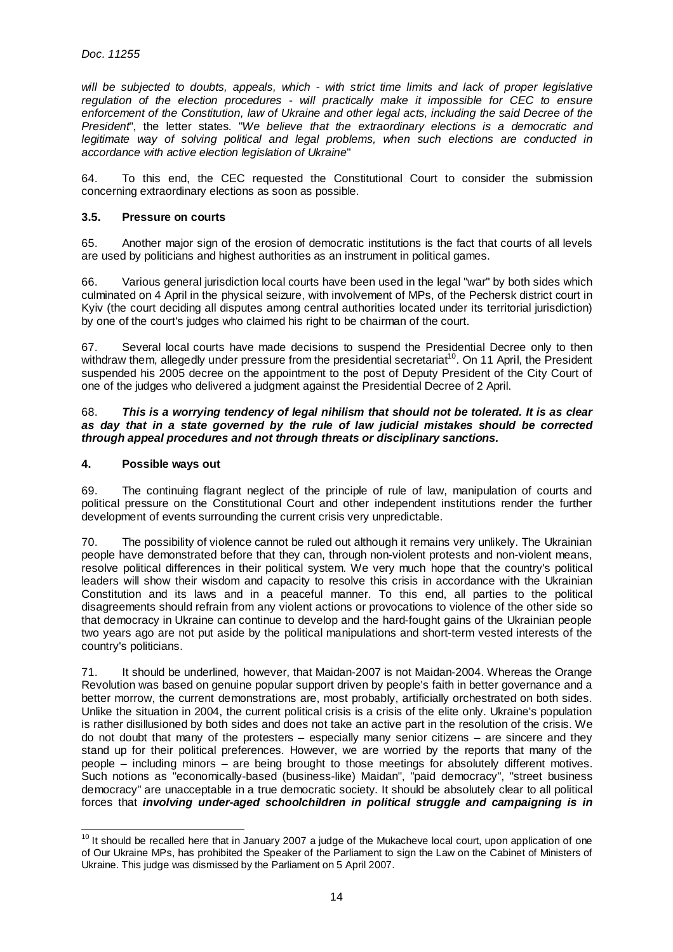will be subjected to doubts, appeals, which - with strict time limits and lack of proper legislative regulation of the election procedures - will practically make it impossible for CEC to ensure enforcement of the Constitution, law of Ukraine and other legal acts, including the said Decree of the President', the letter states. "We believe that the extraordinary elections is a democratic and legitimate way of solving political and legal problems, when such elections are conducted in accordance with active election legislation of Ukraine"

64. To this end, the CEC requested the Constitutional Court to consider the submission concerning extraordinary elections as soon as possible.

#### **3.5. Pressure on courts**

65. Another major sign of the erosion of democratic institutions is the fact that courts of all levels are used by politicians and highest authorities as an instrument in political games.

66. Various general jurisdiction local courts have been used in the legal "war" by both sides which culminated on 4 April in the physical seizure, with involvement of MPs, of the Pechersk district court in Kyiv (the court deciding all disputes among central authorities located under its territorial jurisdiction) by one of the court's judges who claimed his right to be chairman of the court.

67. Several local courts have made decisions to suspend the Presidential Decree only to then withdraw them, allegedly under pressure from the presidential secretariat<sup>10</sup>. On 11 April, the President suspended his 2005 decree on the appointment to the post of Deputy President of the City Court of one of the judges who delivered a judgment against the Presidential Decree of 2 April.

#### 68. **This is a worrying tendency of legal nihilism that should not be tolerated. It is as clear as day that in a state governed by the rule of law judicial mistakes should be corrected through appeal procedures and not through threats or disciplinary sanctions.**

#### **4. Possible ways out**

69. The continuing flagrant neglect of the principle of rule of law, manipulation of courts and political pressure on the Constitutional Court and other independent institutions render the further development of events surrounding the current crisis very unpredictable.

70. The possibility of violence cannot be ruled out although it remains very unlikely. The Ukrainian people have demonstrated before that they can, through non-violent protests and non-violent means, resolve political differences in their political system. We very much hope that the country's political leaders will show their wisdom and capacity to resolve this crisis in accordance with the Ukrainian Constitution and its laws and in a peaceful manner. To this end, all parties to the political disagreements should refrain from any violent actions or provocations to violence of the other side so that democracy in Ukraine can continue to develop and the hard-fought gains of the Ukrainian people two years ago are not put aside by the political manipulations and short-term vested interests of the country's politicians.

71. It should be underlined, however, that Maidan-2007 is not Maidan-2004. Whereas the Orange Revolution was based on genuine popular support driven by people's faith in better governance and a better morrow, the current demonstrations are, most probably, artificially orchestrated on both sides. Unlike the situation in 2004, the current political crisis is a crisis of the elite only. Ukraine's population is rather disillusioned by both sides and does not take an active part in the resolution of the crisis. We do not doubt that many of the protesters – especially many senior citizens – are sincere and they stand up for their political preferences. However, we are worried by the reports that many of the people – including minors – are being brought to those meetings for absolutely different motives. Such notions as "economically-based (business-like) Maidan", "paid democracy", "street business democracy" are unacceptable in a true democratic society. It should be absolutely clear to all political forces that **involving under-aged schoolchildren in political struggle and campaigning is in** 

 $\overline{a}$  $10$  It should be recalled here that in January 2007 a judge of the Mukacheve local court, upon application of one of Our Ukraine MPs, has prohibited the Speaker of the Parliament to sign the Law on the Cabinet of Ministers of Ukraine. This judge was dismissed by the Parliament on 5 April 2007.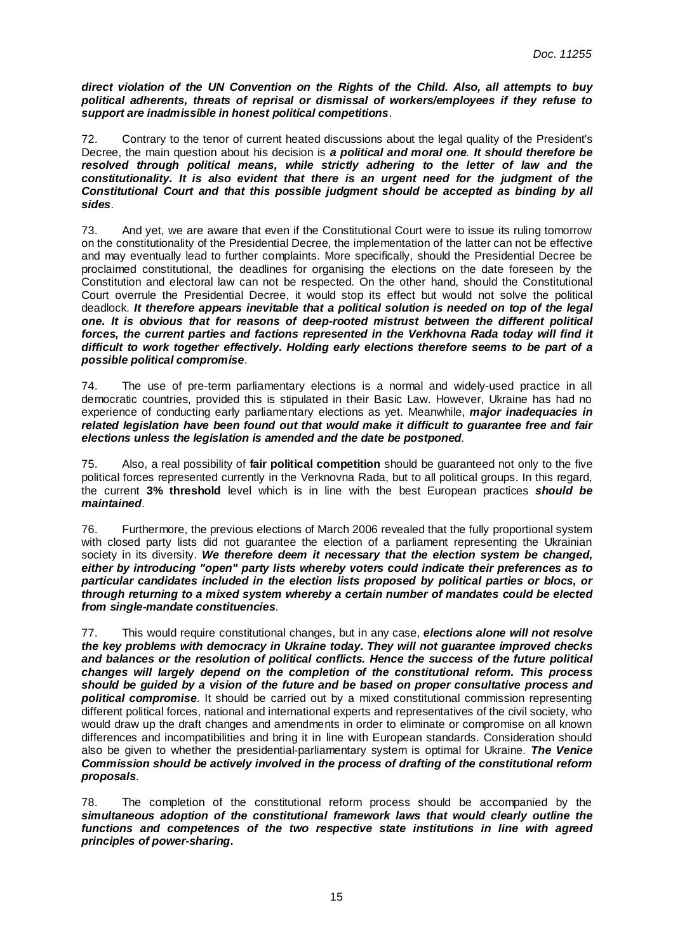**direct violation of the UN Convention on the Rights of the Child. Also, all attempts to buy political adherents, threats of reprisal or dismissal of workers/employees if they refuse to support are inadmissible in honest political competitions**.

72. Contrary to the tenor of current heated discussions about the legal quality of the President's Decree, the main question about his decision is **a political and moral one**. **It should therefore be resolved through political means, while strictly adhering to the letter of law and the constitutionality. It is also evident that there is an urgent need for the judgment of the Constitutional Court and that this possible judgment should be accepted as binding by all sides**.

73. And yet, we are aware that even if the Constitutional Court were to issue its ruling tomorrow on the constitutionality of the Presidential Decree, the implementation of the latter can not be effective and may eventually lead to further complaints. More specifically, should the Presidential Decree be proclaimed constitutional, the deadlines for organising the elections on the date foreseen by the Constitution and electoral law can not be respected. On the other hand, should the Constitutional Court overrule the Presidential Decree, it would stop its effect but would not solve the political deadlock. **It therefore appears inevitable that a political solution is needed on top of the legal one. It is obvious that for reasons of deep-rooted mistrust between the different political forces, the current parties and factions represented in the Verkhovna Rada today will find it difficult to work together effectively. Holding early elections therefore seems to be part of a possible political compromise**.

74. The use of pre-term parliamentary elections is a normal and widely-used practice in all democratic countries, provided this is stipulated in their Basic Law. However, Ukraine has had no experience of conducting early parliamentary elections as yet. Meanwhile, **major inadequacies in related legislation have been found out that would make it difficult to guarantee free and fair elections unless the legislation is amended and the date be postponed**.

75. Also, a real possibility of **fair political competition** should be guaranteed not only to the five political forces represented currently in the Verknovna Rada, but to all political groups. In this regard, the current **3% threshold** level which is in line with the best European practices **should be maintained**.

76. Furthermore, the previous elections of March 2006 revealed that the fully proportional system with closed party lists did not guarantee the election of a parliament representing the Ukrainian society in its diversity. **We therefore deem it necessary that the election system be changed, either by introducing "open" party lists whereby voters could indicate their preferences as to particular candidates included in the election lists proposed by political parties or blocs, or through returning to a mixed system whereby a certain number of mandates could be elected from single-mandate constituencies**.

77. This would require constitutional changes, but in any case, **elections alone will not resolve the key problems with democracy in Ukraine today. They will not guarantee improved checks and balances or the resolution of political conflicts. Hence the success of the future political changes will largely depend on the completion of the constitutional reform. This process should be guided by a vision of the future and be based on proper consultative process and political compromise**. It should be carried out by a mixed constitutional commission representing different political forces, national and international experts and representatives of the civil society, who would draw up the draft changes and amendments in order to eliminate or compromise on all known differences and incompatibilities and bring it in line with European standards. Consideration should also be given to whether the presidential-parliamentary system is optimal for Ukraine. **The Venice Commission should be actively involved in the process of drafting of the constitutional reform proposals**.

78. The completion of the constitutional reform process should be accompanied by the **simultaneous adoption of the constitutional framework laws that would clearly outline the functions and competences of the two respective state institutions in line with agreed principles of power-sharing.**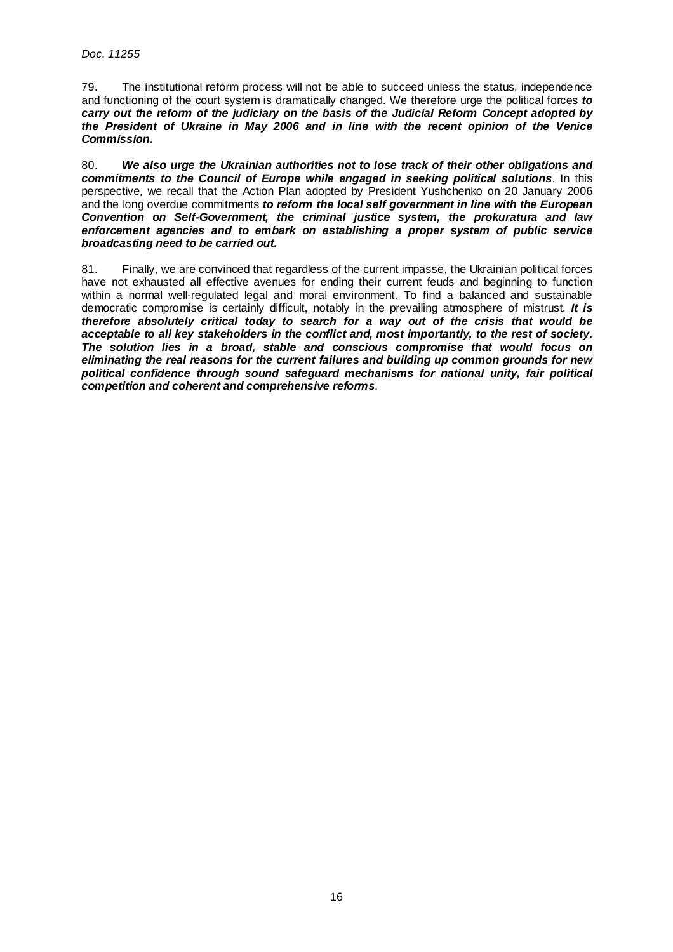79. The institutional reform process will not be able to succeed unless the status, independence and functioning of the court system is dramatically changed. We therefore urge the political forces **to carry out the reform of the judiciary on the basis of the Judicial Reform Concept adopted by the President of Ukraine in May 2006 and in line with the recent opinion of the Venice Commission.** 

80. **We also urge the Ukrainian authorities not to lose track of their other obligations and commitments to the Council of Europe while engaged in seeking political solutions**. In this perspective, we recall that the Action Plan adopted by President Yushchenko on 20 January 2006 and the long overdue commitments **to reform the local self government in line with the European Convention on Self-Government, the criminal justice system, the prokuratura and law enforcement agencies and to embark on establishing a proper system of public service broadcasting need to be carried out.**

81. Finally, we are convinced that regardless of the current impasse, the Ukrainian political forces have not exhausted all effective avenues for ending their current feuds and beginning to function within a normal well-regulated legal and moral environment. To find a balanced and sustainable democratic compromise is certainly difficult, notably in the prevailing atmosphere of mistrust. **It is therefore absolutely critical today to search for a way out of the crisis that would be acceptable to all key stakeholders in the conflict and, most importantly, to the rest of society. The solution lies in a broad, stable and conscious compromise that would focus on eliminating the real reasons for the current failures and building up common grounds for new political confidence through sound safeguard mechanisms for national unity, fair political competition and coherent and comprehensive reforms**.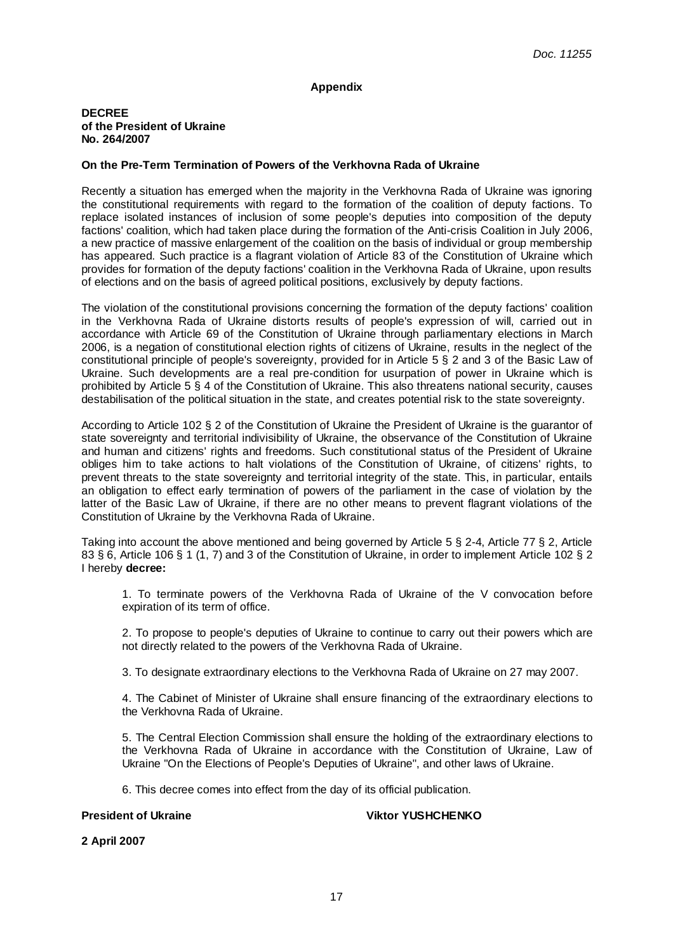#### **Appendix**

#### **DECREE of the President of Ukraine No. 264/2007**

#### **On the Pre-Term Termination of Powers of the Verkhovna Rada of Ukraine**

Recently a situation has emerged when the majority in the Verkhovna Rada of Ukraine was ignoring the constitutional requirements with regard to the formation of the coalition of deputy factions. To replace isolated instances of inclusion of some people's deputies into composition of the deputy factions' coalition, which had taken place during the formation of the Anti-crisis Coalition in July 2006, a new practice of massive enlargement of the coalition on the basis of individual or group membership has appeared. Such practice is a flagrant violation of Article 83 of the Constitution of Ukraine which provides for formation of the deputy factions' coalition in the Verkhovna Rada of Ukraine, upon results of elections and on the basis of agreed political positions, exclusively by deputy factions.

The violation of the constitutional provisions concerning the formation of the deputy factions' coalition in the Verkhovna Rada of Ukraine distorts results of people's expression of will, carried out in accordance with Article 69 of the Constitution of Ukraine through parliamentary elections in March 2006, is a negation of constitutional election rights of citizens of Ukraine, results in the neglect of the constitutional principle of people's sovereignty, provided for in Article 5 § 2 and 3 of the Basic Law of Ukraine. Such developments are a real pre-condition for usurpation of power in Ukraine which is prohibited by Article 5 § 4 of the Constitution of Ukraine. This also threatens national security, causes destabilisation of the political situation in the state, and creates potential risk to the state sovereignty.

According to Article 102 § 2 of the Constitution of Ukraine the President of Ukraine is the guarantor of state sovereignty and territorial indivisibility of Ukraine, the observance of the Constitution of Ukraine and human and citizens' rights and freedoms. Such constitutional status of the President of Ukraine obliges him to take actions to halt violations of the Constitution of Ukraine, of citizens' rights, to prevent threats to the state sovereignty and territorial integrity of the state. This, in particular, entails an obligation to effect early termination of powers of the parliament in the case of violation by the latter of the Basic Law of Ukraine, if there are no other means to prevent flagrant violations of the Constitution of Ukraine by the Verkhovna Rada of Ukraine.

Taking into account the above mentioned and being governed by Article 5 § 2-4, Article 77 § 2, Article 83 § 6, Article 106 § 1 (1, 7) and 3 of the Constitution of Ukraine, in order to implement Article 102 § 2 I hereby **decree:**

1. To terminate powers of the Verkhovna Rada of Ukraine of the V convocation before expiration of its term of office.

2. To propose to people's deputies of Ukraine to continue to carry out their powers which are not directly related to the powers of the Verkhovna Rada of Ukraine.

3. To designate extraordinary elections to the Verkhovna Rada of Ukraine on 27 may 2007.

4. The Cabinet of Minister of Ukraine shall ensure financing of the extraordinary elections to the Verkhovna Rada of Ukraine.

5. The Central Election Commission shall ensure the holding of the extraordinary elections to the Verkhovna Rada of Ukraine in accordance with the Constitution of Ukraine, Law of Ukraine "On the Elections of People's Deputies of Ukraine", and other laws of Ukraine.

6. This decree comes into effect from the day of its official publication.

#### **President of Ukraine Community Community Community President Of Ukraine Viktor YUSHCHENKO**

**2 April 2007**